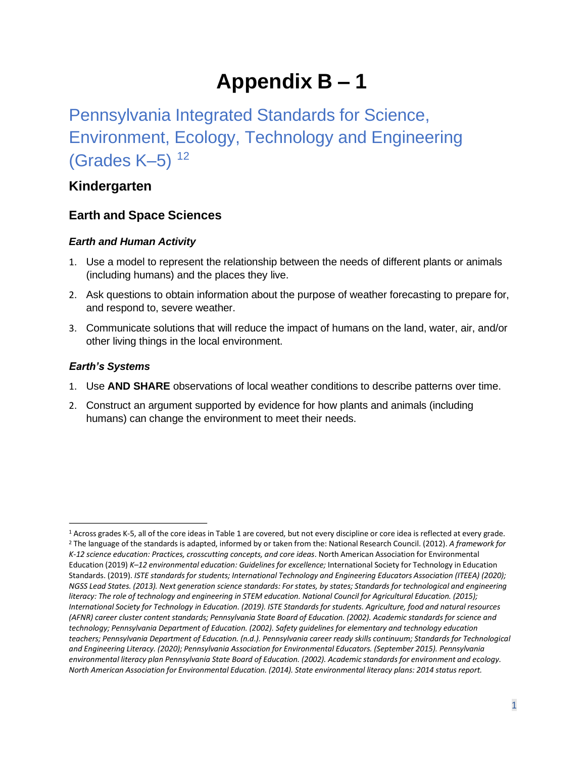# **Appendix B – 1**

# Pennsylvania Integrated Standards for Science, Environment, Ecology, Technology and Engineering (Grades K–5) [1](#page-0-0)[2](#page-0-1)

## **Kindergarten**

### **Earth and Space Sciences**

#### *Earth and Human Activity*

- 1. Use a model to represent the relationship between the needs of different plants or animals (including humans) and the places they live.
- 2. Ask questions to obtain information about the purpose of weather forecasting to prepare for, and respond to, severe weather.
- 3. Communicate solutions that will reduce the impact of humans on the land, water, air, and/or other living things in the local environment.

#### *Earth's Systems*

- 1. Use **AND SHARE** observations of local weather conditions to describe patterns over time.
- 2. Construct an argument supported by evidence for how plants and animals (including humans) can change the environment to meet their needs.

<span id="page-0-1"></span><span id="page-0-0"></span> Standards. (2019). *ISTE standards for students; International Technology and Engineering Educators Association (ITEEA) (2020); literacy: The role of technology and engineering in STEM education. National Council for Agricultural Education. (2015);*  <sup>1</sup> Across grades K-5, all of the core ideas in Table 1 are covered, but not every discipline or core idea is reflected at every grade.<br><sup>2</sup> The language of the standards is adapted, informed by or taken from the: National *K-12 science education: Practices, crosscutting concepts, and core ideas*. North American Association for Environmental Education (2019) *K–12 environmental education: Guidelines for excellence;* International Society for Technology in Education *NGSS Lead States. (2013). Next generation science standards: For states, by states; Standards for technological and engineering International Society for Technology in Education. (2019). ISTE Standards for students. Agriculture, food and natural resources (AFNR) career cluster content standards; Pennsylvania State Board of Education. (2002). Academic standards for science and technology; Pennsylvania Department of Education. (2002). Safety guidelines for elementary and technology education teachers; Pennsylvania Department of Education. (n.d.). Pennsylvania career ready skills continuum; Standards for Technological and Engineering Literacy. (2020); Pennsylvania Association for Environmental Educators. (September 2015). Pennsylvania environmental literacy plan Pennsylvania State Board of Education. (2002). Academic standards for environment and ecology. North American Association for Environmental Education. (2014). State environmental literacy plans: 2014 status report.*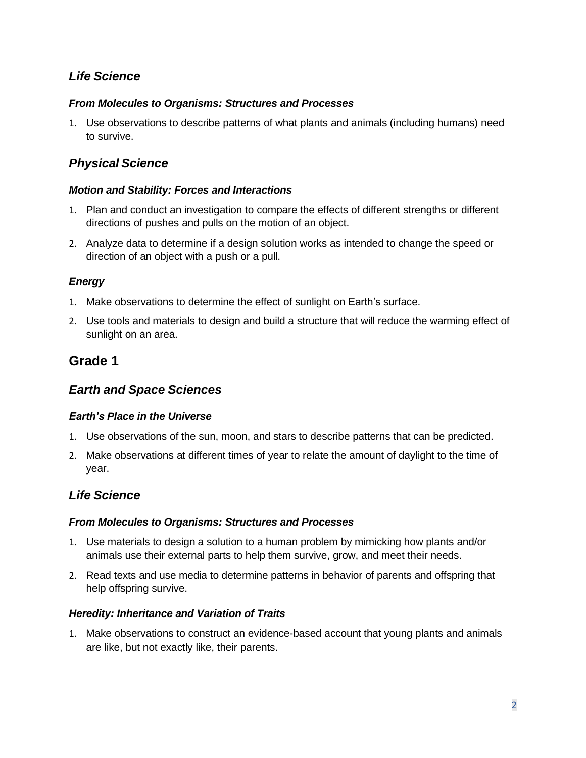## *Life Science*

#### *From Molecules to Organisms: Structures and Processes*

1. Use observations to describe patterns of what plants and animals (including humans) need to survive.

## *Physical Science*

#### *Motion and Stability: Forces and Interactions*

- 1. Plan and conduct an investigation to compare the effects of different strengths or different directions of pushes and pulls on the motion of an object.
- 2. Analyze data to determine if a design solution works as intended to change the speed or direction of an object with a push or a pull.

#### *Energy*

- 1. Make observations to determine the effect of sunlight on Earth's surface.
- 2. Use tools and materials to design and build a structure that will reduce the warming effect of sunlight on an area.

## **Grade 1**

#### *Earth and Space Sciences*

#### *Earth's Place in the Universe*

- 1. Use observations of the sun, moon, and stars to describe patterns that can be predicted.
- 2. Make observations at different times of year to relate the amount of daylight to the time of year.

### *Life Science*

#### *From Molecules to Organisms: Structures and Processes*

- 1. Use materials to design a solution to a human problem by mimicking how plants and/or animals use their external parts to help them survive, grow, and meet their needs.
- 2. Read texts and use media to determine patterns in behavior of parents and offspring that help offspring survive.

#### *Heredity: Inheritance and Variation of Traits*

1. Make observations to construct an evidence-based account that young plants and animals are like, but not exactly like, their parents.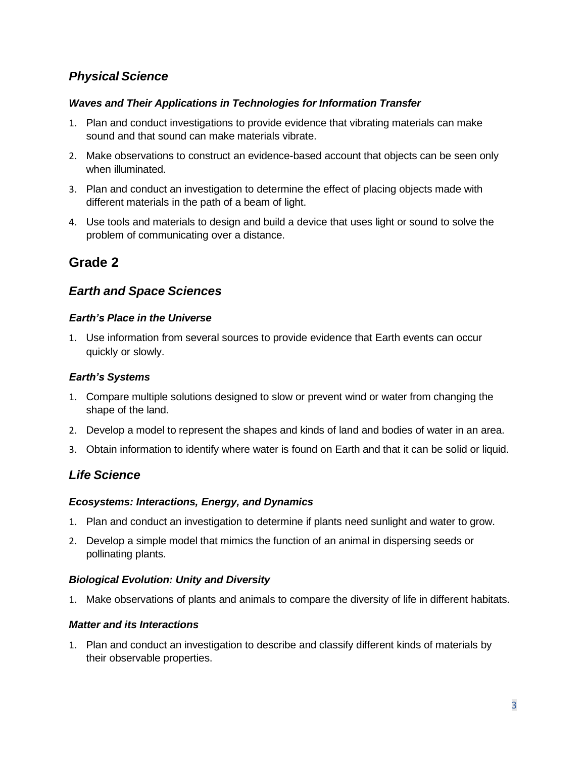# *Physical Science*

#### *Waves and Their Applications in Technologies for Information Transfer*

- 1. Plan and conduct investigations to provide evidence that vibrating materials can make sound and that sound can make materials vibrate.
- 2. Make observations to construct an evidence-based account that objects can be seen only when illuminated.
- 3. Plan and conduct an investigation to determine the effect of placing objects made with different materials in the path of a beam of light.
- 4. Use tools and materials to design and build a device that uses light or sound to solve the problem of communicating over a distance.

# **Grade 2**

# *Earth and Space Sciences*

#### *Earth's Place in the Universe*

1. Use information from several sources to provide evidence that Earth events can occur quickly or slowly.

#### *Earth's Systems*

- 1. Compare multiple solutions designed to slow or prevent wind or water from changing the shape of the land.
- 2. Develop a model to represent the shapes and kinds of land and bodies of water in an area.
- 3. Obtain information to identify where water is found on Earth and that it can be solid or liquid.

## *Life Science*

#### *Ecosystems: Interactions, Energy, and Dynamics*

- 1. Plan and conduct an investigation to determine if plants need sunlight and water to grow.
- 2. Develop a simple model that mimics the function of an animal in dispersing seeds or pollinating plants.

#### *Biological Evolution: Unity and Diversity*

1. Make observations of plants and animals to compare the diversity of life in different habitats.

#### *Matter and its Interactions*

1. Plan and conduct an investigation to describe and classify different kinds of materials by their observable properties.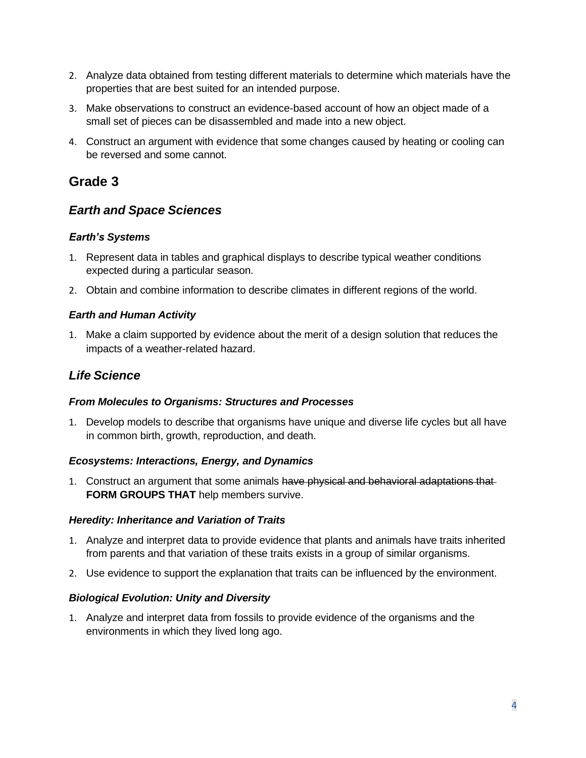- 2. Analyze data obtained from testing different materials to determine which materials have the properties that are best suited for an intended purpose.
- 3. Make observations to construct an evidence-based account of how an object made of a small set of pieces can be disassembled and made into a new object.
- 4. Construct an argument with evidence that some changes caused by heating or cooling can be reversed and some cannot.

# **Grade 3**

## *Earth and Space Sciences*

#### *Earth's Systems*

- 1. Represent data in tables and graphical displays to describe typical weather conditions expected during a particular season.
- 2. Obtain and combine information to describe climates in different regions of the world.

#### *Earth and Human Activity*

1. Make a claim supported by evidence about the merit of a design solution that reduces the impacts of a weather-related hazard.

## *Life Science*

#### *From Molecules to Organisms: Structures and Processes*

 in common birth, growth, reproduction, and death. 1. Develop models to describe that organisms have unique and diverse life cycles but all have

#### *Ecosystems: Interactions, Energy, and Dynamics*

1. Construct an argument that some animals have physical and behavioral adaptations that **FORM GROUPS THAT** help members survive.

#### *Heredity: Inheritance and Variation of Traits*

- 1. Analyze and interpret data to provide evidence that plants and animals have traits inherited from parents and that variation of these traits exists in a group of similar organisms.
- 2. Use evidence to support the explanation that traits can be influenced by the environment.

#### *Biological Evolution: Unity and Diversity*

1. Analyze and interpret data from fossils to provide evidence of the organisms and the environments in which they lived long ago.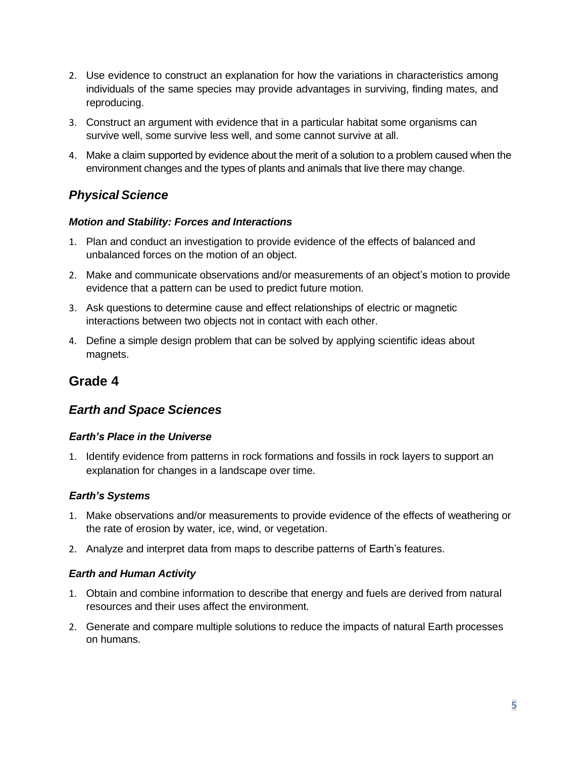- 2. Use evidence to construct an explanation for how the variations in characteristics among individuals of the same species may provide advantages in surviving, finding mates, and reproducing.
- 3. Construct an argument with evidence that in a particular habitat some organisms can survive well, some survive less well, and some cannot survive at all.
- 4. Make a claim supported by evidence about the merit of a solution to a problem caused when the environment changes and the types of plants and animals that live there may change.

# *Physical Science*

#### *Motion and Stability: Forces and Interactions*

- 1. Plan and conduct an investigation to provide evidence of the effects of balanced and unbalanced forces on the motion of an object.
- 2. Make and communicate observations and/or measurements of an object's motion to provide evidence that a pattern can be used to predict future motion.
- 3. Ask questions to determine cause and effect relationships of electric or magnetic interactions between two objects not in contact with each other.
- 4. Define a simple design problem that can be solved by applying scientific ideas about magnets.

# **Grade 4**

## *Earth and Space Sciences*

#### *Earth's Place in the Universe*

1. Identify evidence from patterns in rock formations and fossils in rock layers to support an explanation for changes in a landscape over time.

#### *Earth's Systems*

- 1. Make observations and/or measurements to provide evidence of the effects of weathering or the rate of erosion by water, ice, wind, or vegetation.
- 2. Analyze and interpret data from maps to describe patterns of Earth's features.

#### *Earth and Human Activity*

- 1. Obtain and combine information to describe that energy and fuels are derived from natural resources and their uses affect the environment.
- 2. Generate and compare multiple solutions to reduce the impacts of natural Earth processes on humans.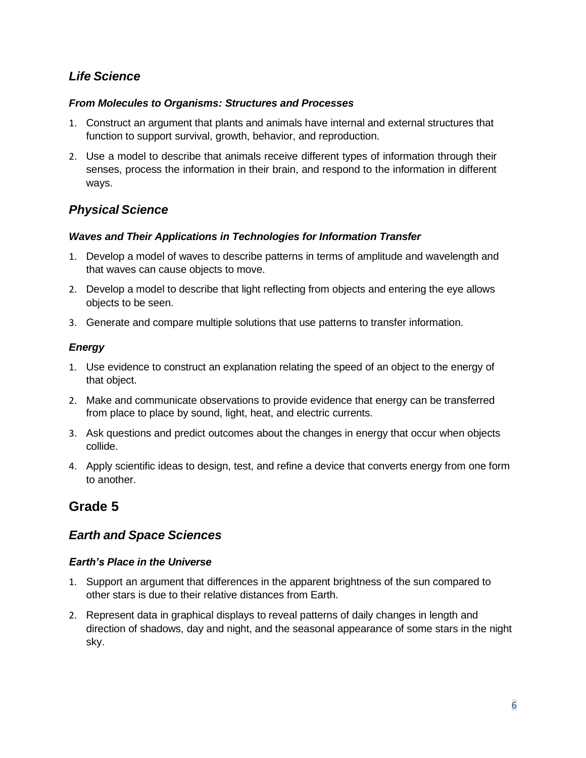## *Life Science*

#### *From Molecules to Organisms: Structures and Processes*

- 1. Construct an argument that plants and animals have internal and external structures that function to support survival, growth, behavior, and reproduction.
- senses, process the information in their brain, and respond to the information in different 2. Use a model to describe that animals receive different types of information through their ways.

# *Physical Science*

#### *Waves and Their Applications in Technologies for Information Transfer*

- 1. Develop a model of waves to describe patterns in terms of amplitude and wavelength and that waves can cause objects to move.
- 2. Develop a model to describe that light reflecting from objects and entering the eye allows objects to be seen.
- 3. Generate and compare multiple solutions that use patterns to transfer information.

### *Energy*

- 1. Use evidence to construct an explanation relating the speed of an object to the energy of that object.
- from place to place by sound, light, heat, and electric currents. 2. Make and communicate observations to provide evidence that energy can be transferred
- 3. Ask questions and predict outcomes about the changes in energy that occur when objects collide.
- 4. Apply scientific ideas to design, test, and refine a device that converts energy from one form to another.

# **Grade 5**

# *Earth and Space Sciences*

### *Earth's Place in the Universe*

- 1. Support an argument that differences in the apparent brightness of the sun compared to other stars is due to their relative distances from Earth.
- 2. Represent data in graphical displays to reveal patterns of daily changes in length and direction of shadows, day and night, and the seasonal appearance of some stars in the night sky.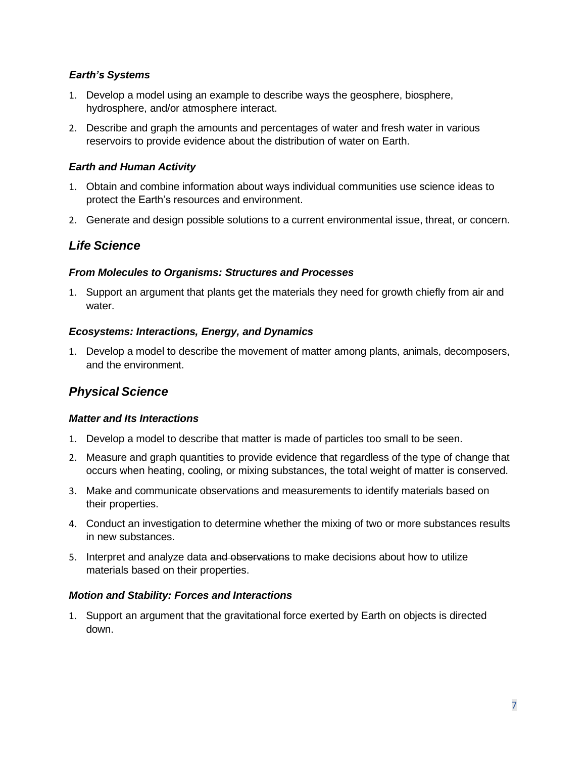#### *Earth's Systems*

- 1. Develop a model using an example to describe ways the geosphere, biosphere, hydrosphere, and/or atmosphere interact.
- 2. Describe and graph the amounts and percentages of water and fresh water in various reservoirs to provide evidence about the distribution of water on Earth.

#### *Earth and Human Activity*

- 1. Obtain and combine information about ways individual communities use science ideas to protect the Earth's resources and environment.
- 2. Generate and design possible solutions to a current environmental issue, threat, or concern.

### *Life Science*

#### *From Molecules to Organisms: Structures and Processes*

1. Support an argument that plants get the materials they need for growth chiefly from air and water.

#### *Ecosystems: Interactions, Energy, and Dynamics*

1. Develop a model to describe the movement of matter among plants, animals, decomposers, and the environment.

### *Physical Science*

#### *Matter and Its Interactions*

- 1. Develop a model to describe that matter is made of particles too small to be seen.
- 2. Measure and graph quantities to provide evidence that regardless of the type of change that occurs when heating, cooling, or mixing substances, the total weight of matter is conserved.
- 3. Make and communicate observations and measurements to identify materials based on their properties.
- 4. Conduct an investigation to determine whether the mixing of two or more substances results in new substances.
- 5. Interpret and analyze data and observations to make decisions about how to utilize materials based on their properties.

#### *Motion and Stability: Forces and Interactions*

1. Support an argument that the gravitational force exerted by Earth on objects is directed down.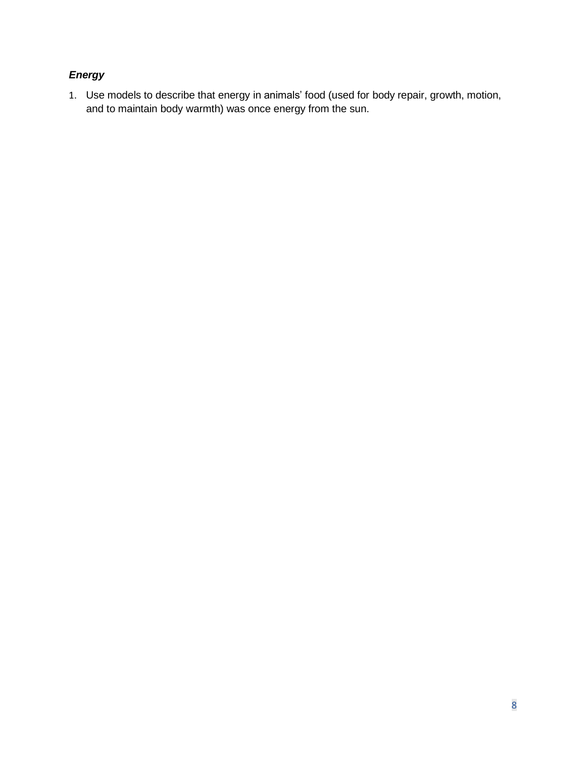## *Energy*

 1. Use models to describe that energy in animals' food (used for body repair, growth, motion, and to maintain body warmth) was once energy from the sun.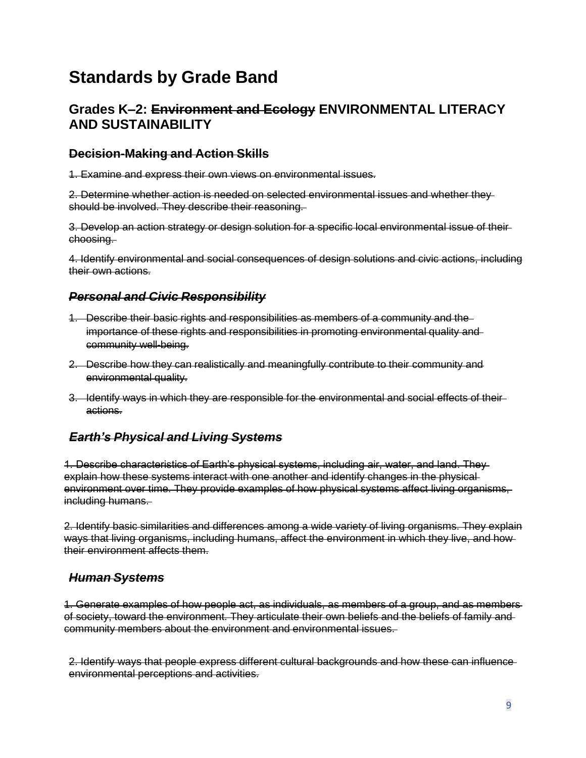# **Standards by Grade Band**

# **Grades K–2: Environment and Ecology ENVIRONMENTAL LITERACY AND SUSTAINABILITY**

### **Decision-Making and Action Skills**

1. Examine and express their own views on environmental issues.

 2. Determine whether action is needed on selected environmental issues and whether they should be involved. They describe their reasoning.

 3. Develop an action strategy or design solution for a specific local environmental issue of their choosing.

 4. Identify environmental and social consequences of design solutions and civic actions, including their own actions.

## *Personal and Civic Responsibility*

- 1. Describe their basic rights and responsibilities as members of a community and the importance of these rights and responsibilities in promoting environmental quality and community well-being.
- 2. Describe how they can realistically and meaningfully contribute to their community and environmental quality.
- 3. Identify ways in which they are responsible for the environmental and social effects of their actions.

## *Earth's Physical and Living Systems*

 1. Describe characteristics of Earth's physical systems, including air, water, and land. They explain how these systems interact with one another and identify changes in the physical environment over time. They provide examples of how physical systems affect living organisms, including humans.

 2. Identify basic similarities and differences among a wide variety of living organisms. They explain ways that living organisms, including humans, affect the environment in which they live, and how their environment affects them.

### *Human Systems*

 1. Generate examples of how people act, as individuals, as members of a group, and as members of society, toward the environment. They articulate their own beliefs and the beliefs of family and community members about the environment and environmental issues.

 2. Identify ways that people express different cultural backgrounds and how these can influence environmental perceptions and activities.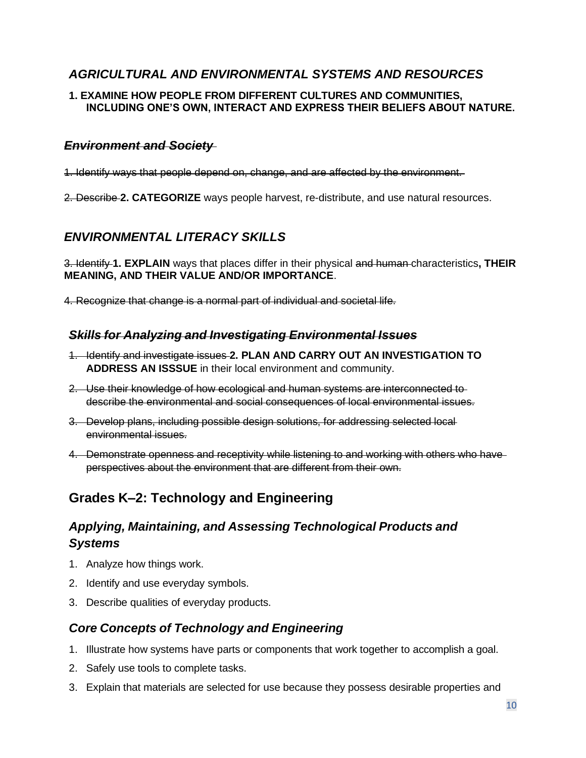## *AGRICULTURAL AND ENVIRONMENTAL SYSTEMS AND RESOURCES*

#### **1. EXAMINE HOW PEOPLE FROM DIFFERENT CULTURES AND COMMUNITIES, INCLUDING ONE'S OWN, INTERACT AND EXPRESS THEIR BELIEFS ABOUT NATURE.**

#### *Environment and Society*

1. Identify ways that people depend on, change, and are affected by the environment.

2. Describe **2. CATEGORIZE** ways people harvest, re-distribute, and use natural resources.

# *ENVIRONMENTAL LITERACY SKILLS*

 3. Identify **1. EXPLAIN** ways that places differ in their physical and human characteristics**, THEIR MEANING, AND THEIR VALUE AND/OR IMPORTANCE**.

4. Recognize that change is a normal part of individual and societal life.

### *Skills for Analyzing and Investigating Environmental Issues*

- 1. Identify and investigate issues **2. PLAN AND CARRY OUT AN INVESTIGATION TO ADDRESS AN ISSSUE** in their local environment and community.
- 2. Use their knowledge of how ecological and human systems are interconnected to describe the environmental and social consequences of local environmental issues.
- 3. Develop plans, including possible design solutions, for addressing selected local environmental issues.
- perspectives about the environment that are different from their own. 4. Demonstrate openness and receptivity while listening to and working with others who have

# **Grades K–2: Technology and Engineering**

# *Applying, Maintaining, and Assessing Technological Products and Systems*

- 1. Analyze how things work.
- 2. Identify and use everyday symbols.
- 3. Describe qualities of everyday products.

## *Core Concepts of Technology and Engineering*

- 1. Illustrate how systems have parts or components that work together to accomplish a goal.
- 2. Safely use tools to complete tasks.
- 3. Explain that materials are selected for use because they possess desirable properties and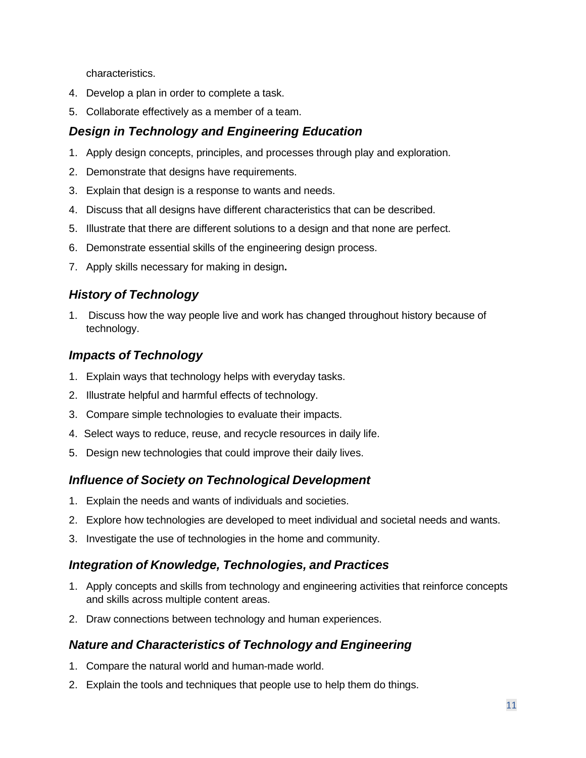characteristics.

- 4. Develop a plan in order to complete a task.
- 5. Collaborate effectively as a member of a team.

# *Design in Technology and Engineering Education*

- 1. Apply design concepts, principles, and processes through play and exploration.
- 2. Demonstrate that designs have requirements.
- 3. Explain that design is a response to wants and needs.
- 4. Discuss that all designs have different characteristics that can be described.
- 5. Illustrate that there are different solutions to a design and that none are perfect.
- 6. Demonstrate essential skills of the engineering design process.
- 7. Apply skills necessary for making in design**.**

# *History of Technology*

1. Discuss how the way people live and work has changed throughout history because of technology.

## *Impacts of Technology*

- 1. Explain ways that technology helps with everyday tasks.
- 2. Illustrate helpful and harmful effects of technology.
- 3. Compare simple technologies to evaluate their impacts.
- 4. Select ways to reduce, reuse, and recycle resources in daily life.
- 5. Design new technologies that could improve their daily lives.

## *Influence of Society on Technological Development*

- 1. Explain the needs and wants of individuals and societies.
- 2. Explore how technologies are developed to meet individual and societal needs and wants.
- 3. Investigate the use of technologies in the home and community.

### *Integration of Knowledge, Technologies, and Practices*

- 1. Apply concepts and skills from technology and engineering activities that reinforce concepts and skills across multiple content areas.
- 2. Draw connections between technology and human experiences.

## *Nature and Characteristics of Technology and Engineering*

- 1. Compare the natural world and human-made world.
- 2. Explain the tools and techniques that people use to help them do things.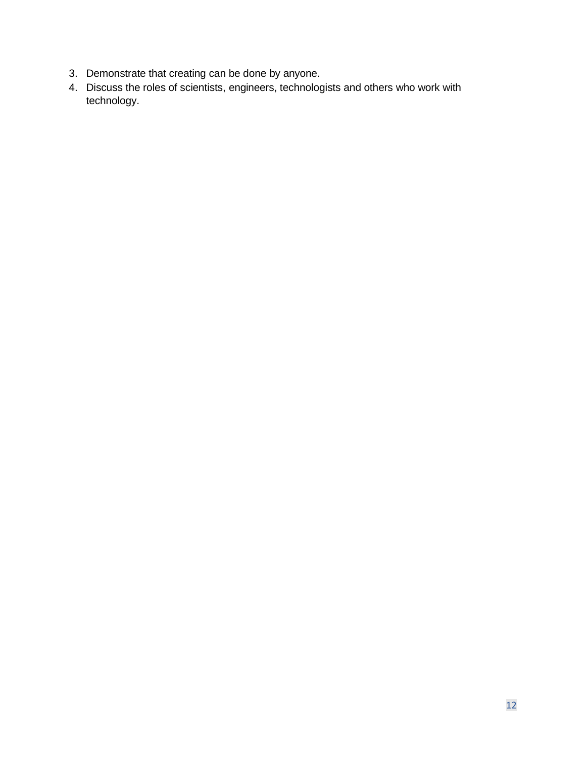- 3. Demonstrate that creating can be done by anyone.
- 4. Discuss the roles of scientists, engineers, technologists and others who work with technology.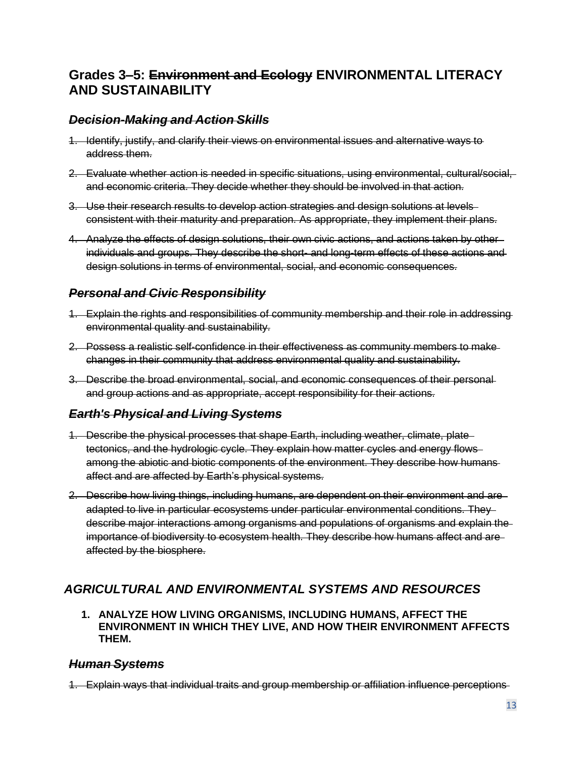# **Grades 3–5: Environment and Ecology ENVIRONMENTAL LITERACY AND SUSTAINABILITY**

#### *Decision-Making and Action Skills*

- 1. Identify, justify, and clarify their views on environmental issues and alternative ways to address them.
- 2. Evaluate whether action is needed in specific situations, using environmental, cultural/social, and economic criteria. They decide whether they should be involved in that action.
- 3. Use their research results to develop action strategies and design solutions at levels consistent with their maturity and preparation. As appropriate, they implement their plans.
- 4. Analyze the effects of design solutions, their own civic actions, and actions taken by other individuals and groups. They describe the short- and long-term effects of these actions and design solutions in terms of environmental, social, and economic consequences.

### *Personal and Civic Responsibility*

- 1. Explain the rights and responsibilities of community membership and their role in addressing environmental quality and sustainability.
- 2. Possess a realistic self-confidence in their effectiveness as community members to make changes in their community that address environmental quality and sustainability.
- and group actions and as appropriate, accept responsibility for their actions. 3. Describe the broad environmental, social, and economic consequences of their personal

### *Earth's Physical and Living Systems*

- 1. Describe the physical processes that shape Earth, including weather, climate, plate tectonics, and the hydrologic cycle. They explain how matter cycles and energy flows among the abiotic and biotic components of the environment. They describe how humans affect and are affected by Earth's physical systems.
- 2. Describe how living things, including humans, are dependent on their environment and are adapted to live in particular ecosystems under particular environmental conditions. They describe major interactions among organisms and populations of organisms and explain the importance of biodiversity to ecosystem health. They describe how humans affect and are affected by the biosphere.

## *AGRICULTURAL AND ENVIRONMENTAL SYSTEMS AND RESOURCES*

 **1. ANALYZE HOW LIVING ORGANISMS, INCLUDING HUMANS, AFFECT THE ENVIRONMENT IN WHICH THEY LIVE, AND HOW THEIR ENVIRONMENT AFFECTS THEM.** 

#### *Human Systems*

1. Explain ways that individual traits and group membership or affiliation influence perceptions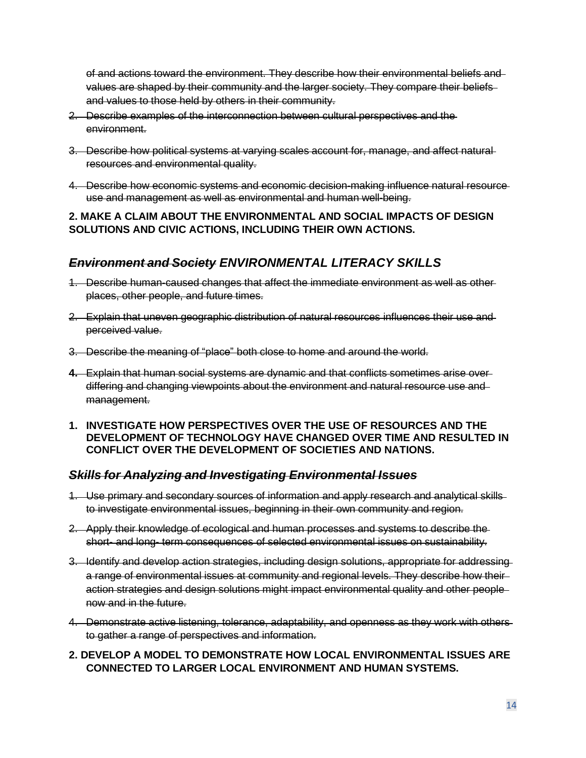of and actions toward the environment. They describe how their environmental beliefs and values are shaped by their community and the larger society. They compare their beliefs and values to those held by others in their community.

- 2. Describe examples of the interconnection between cultural perspectives and the environment.
- 3. Describe how political systems at varying scales account for, manage, and affect natural resources and environmental quality.
- 4. Describe how economic systems and economic decision-making influence natural resource use and management as well as environmental and human well-being.

#### **2. MAKE A CLAIM ABOUT THE ENVIRONMENTAL AND SOCIAL IMPACTS OF DESIGN SOLUTIONS AND CIVIC ACTIONS, INCLUDING THEIR OWN ACTIONS.**

## *Environment and Society ENVIRONMENTAL LITERACY SKILLS*

- 1. Describe human-caused changes that affect the immediate environment as well as other places, other people, and future times.
- 2. Explain that uneven geographic distribution of natural resources influences their use and perceived value.
- 3. Describe the meaning of "place" both close to home and around the world.
- **4.** Explain that human social systems are dynamic and that conflicts sometimes arise over differing and changing viewpoints about the environment and natural resource use and management.
- **1. INVESTIGATE HOW PERSPECTIVES OVER THE USE OF RESOURCES AND THE DEVELOPMENT OF TECHNOLOGY HAVE CHANGED OVER TIME AND RESULTED IN CONFLICT OVER THE DEVELOPMENT OF SOCIETIES AND NATIONS.**

#### *Skills for Analyzing and Investigating Environmental Issues*

- 1. Use primary and secondary sources of information and apply research and analytical skills to investigate environmental issues, beginning in their own community and region.
- 2. Apply their knowledge of ecological and human processes and systems to describe the short- and long- term consequences of selected environmental issues on sustainability.
- 3. Identify and develop action strategies, including design solutions, appropriate for addressing a range of environmental issues at community and regional levels. They describe how their action strategies and design solutions might impact environmental quality and other people now and in the future.
- 4. Demonstrate active listening, tolerance, adaptability, and openness as they work with others to gather a range of perspectives and information.
- **2. DEVELOP A MODEL TO DEMONSTRATE HOW LOCAL ENVIRONMENTAL ISSUES ARE CONNECTED TO LARGER LOCAL ENVIRONMENT AND HUMAN SYSTEMS.**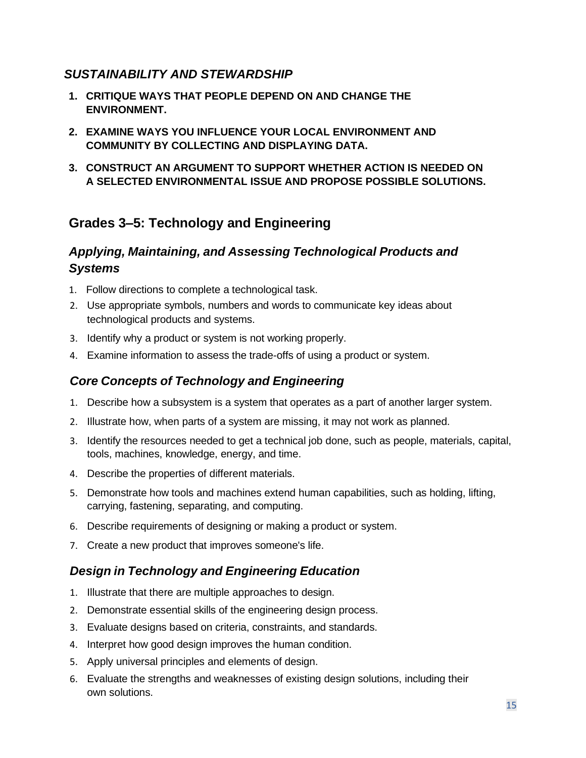## *SUSTAINABILITY AND STEWARDSHIP*

- **1. CRITIQUE WAYS THAT PEOPLE DEPEND ON AND CHANGE THE ENVIRONMENT.**
- **2. EXAMINE WAYS YOU INFLUENCE YOUR LOCAL ENVIRONMENT AND COMMUNITY BY COLLECTING AND DISPLAYING DATA.**
- **3. CONSTRUCT AN ARGUMENT TO SUPPORT WHETHER ACTION IS NEEDED ON A SELECTED ENVIRONMENTAL ISSUE AND PROPOSE POSSIBLE SOLUTIONS.**

# **Grades 3–5: Technology and Engineering**

# *Applying, Maintaining, and Assessing Technological Products and Systems*

- 1. Follow directions to complete a technological task.
- 2. Use appropriate symbols, numbers and words to communicate key ideas about technological products and systems.
- 3. Identify why a product or system is not working properly.
- 4. Examine information to assess the trade-offs of using a product or system.

## *Core Concepts of Technology and Engineering*

- 1. Describe how a subsystem is a system that operates as a part of another larger system.
- 2. Illustrate how, when parts of a system are missing, it may not work as planned.
- 3. Identify the resources needed to get a technical job done, such as people, materials, capital, tools, machines, knowledge, energy, and time.
- 4. Describe the properties of different materials.
- 5. Demonstrate how tools and machines extend human capabilities, such as holding, lifting, carrying, fastening, separating, and computing.
- 6. Describe requirements of designing or making a product or system.
- 7. Create a new product that improves someone's life.

## *Design in Technology and Engineering Education*

- 1. Illustrate that there are multiple approaches to design.
- 2. Demonstrate essential skills of the engineering design process.
- 3. Evaluate designs based on criteria, constraints, and standards.
- 4. Interpret how good design improves the human condition.
- 5. Apply universal principles and elements of design.
- 6. Evaluate the strengths and weaknesses of existing design solutions, including their own solutions.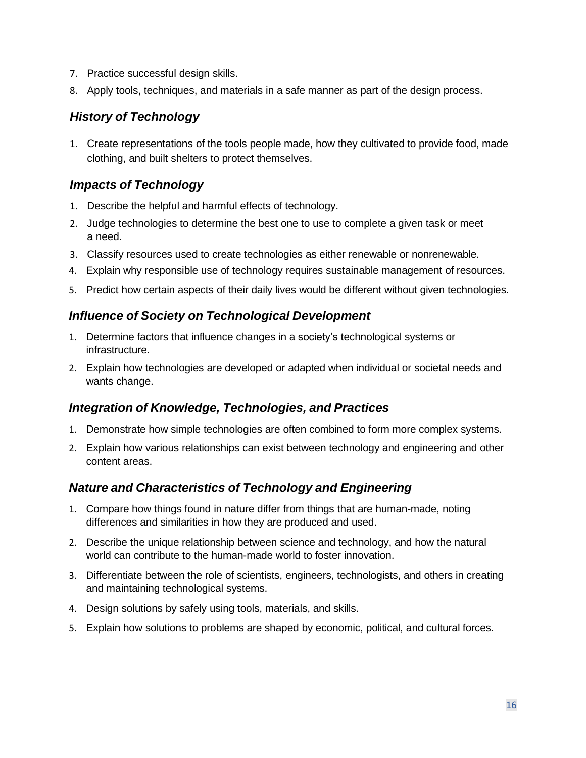- 7. Practice successful design skills.
- 8. Apply tools, techniques, and materials in a safe manner as part of the design process.

# *History of Technology*

 1. Create representations of the tools people made, how they cultivated to provide food, made clothing, and built shelters to protect themselves.

## *Impacts of Technology*

- 1. Describe the helpful and harmful effects of technology.
- 2. Judge technologies to determine the best one to use to complete a given task or meet a need.
- 3. Classify resources used to create technologies as either renewable or nonrenewable.
- 4. Explain why responsible use of technology requires sustainable management of resources.
- 5. Predict how certain aspects of their daily lives would be different without given technologies.

### *Influence of Society on Technological Development*

- 1. Determine factors that influence changes in a society's technological systems or infrastructure.
- 2. Explain how technologies are developed or adapted when individual or societal needs and wants change.

### *Integration of Knowledge, Technologies, and Practices*

- 1. Demonstrate how simple technologies are often combined to form more complex systems.
- 2. Explain how various relationships can exist between technology and engineering and other content areas.

## *Nature and Characteristics of Technology and Engineering*

- 1. Compare how things found in nature differ from things that are human-made, noting differences and similarities in how they are produced and used.
- 2. Describe the unique relationship between science and technology, and how the natural world can contribute to the human-made world to foster innovation.
- 3. Differentiate between the role of scientists, engineers, technologists, and others in creating and maintaining technological systems.
- 4. Design solutions by safely using tools, materials, and skills.
- 5. Explain how solutions to problems are shaped by economic, political, and cultural forces.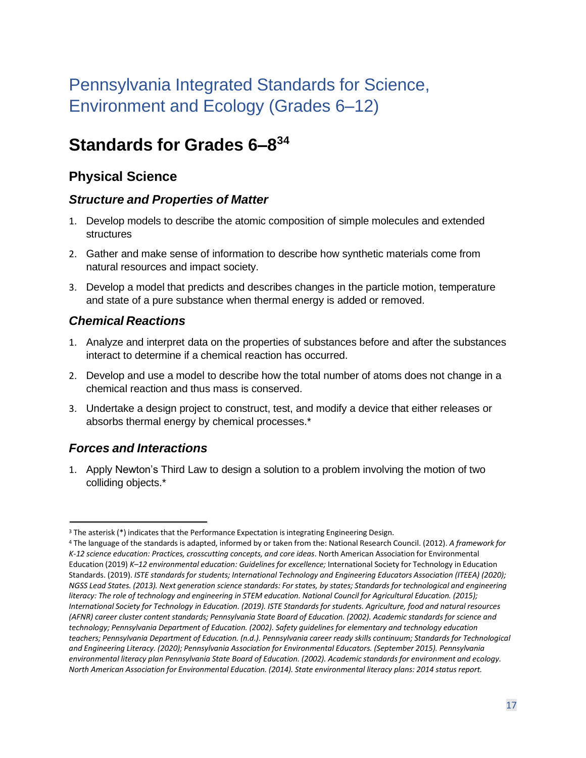# Pennsylvania Integrated Standards for Science, Environment and Ecology (Grades 6–12)

# **Standards for Grades 6–[83](#page-16-0)[4](#page-16-1)**

# **Physical Science**

## *Structure and Properties of Matter*

- 1. Develop models to describe the atomic composition of simple molecules and extended structures
- 2. Gather and make sense of information to describe how synthetic materials come from natural resources and impact society.
- 3. Develop a model that predicts and describes changes in the particle motion, temperature and state of a pure substance when thermal energy is added or removed.

## *Chemical Reactions*

- 1. Analyze and interpret data on the properties of substances before and after the substances interact to determine if a chemical reaction has occurred.
- 2. Develop and use a model to describe how the total number of atoms does not change in a chemical reaction and thus mass is conserved.
- 3. Undertake a design project to construct, test, and modify a device that either releases or absorbs thermal energy by chemical processes.\*

## *Forces and Interactions*

1. Apply Newton's Third Law to design a solution to a problem involving the motion of two colliding objects.\*

<span id="page-16-1"></span><span id="page-16-0"></span>

 Standards. (2019). *ISTE standards for students; International Technology and Engineering Educators Association (ITEEA) (2020); literacy: The role of technology and engineering in STEM education. National Council for Agricultural Education. (2015);*  <sup>3</sup> The asterisk (\*) indicates that the Performance Expectation is integrating Engineering Design.<br><sup>4</sup> The language of the standards is adapted, informed by or taken from the: National Research Council. (2012). A framework *K-12 science education: Practices, crosscutting concepts, and core ideas*. North American Association for Environmental Education (2019) *K–12 environmental education: Guidelines for excellence;* International Society for Technology in Education *NGSS Lead States. (2013). Next generation science standards: For states, by states; Standards for technological and engineering International Society for Technology in Education. (2019). ISTE Standards for students. Agriculture, food and natural resources (AFNR) career cluster content standards; Pennsylvania State Board of Education. (2002). Academic standards for science and technology; Pennsylvania Department of Education. (2002). Safety guidelines for elementary and technology education teachers; Pennsylvania Department of Education. (n.d.). Pennsylvania career ready skills continuum; Standards for Technological and Engineering Literacy. (2020); Pennsylvania Association for Environmental Educators. (September 2015). Pennsylvania environmental literacy plan Pennsylvania State Board of Education. (2002). Academic standards for environment and ecology. North American Association for Environmental Education. (2014). State environmental literacy plans: 2014 status report.*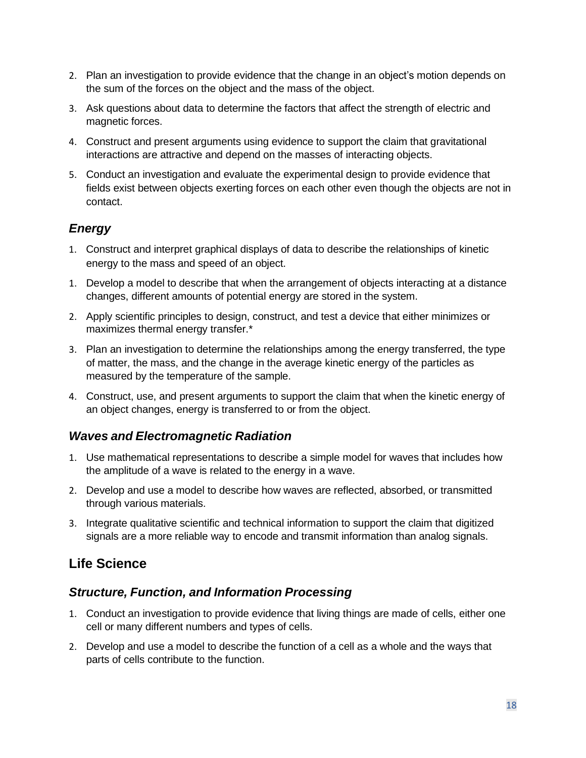- 2. Plan an investigation to provide evidence that the change in an object's motion depends on the sum of the forces on the object and the mass of the object.
- 3. Ask questions about data to determine the factors that affect the strength of electric and magnetic forces.
- 4. Construct and present arguments using evidence to support the claim that gravitational interactions are attractive and depend on the masses of interacting objects.
- 5. Conduct an investigation and evaluate the experimental design to provide evidence that fields exist between objects exerting forces on each other even though the objects are not in contact.

## *Energy*

- 1. Construct and interpret graphical displays of data to describe the relationships of kinetic energy to the mass and speed of an object.
- 1. Develop a model to describe that when the arrangement of objects interacting at a distance changes, different amounts of potential energy are stored in the system.
- 2. Apply scientific principles to design, construct, and test a device that either minimizes or maximizes thermal energy transfer.\*
- of matter, the mass, and the change in the average kinetic energy of the particles as 3. Plan an investigation to determine the relationships among the energy transferred, the type measured by the temperature of the sample.
- 4. Construct, use, and present arguments to support the claim that when the kinetic energy of an object changes, energy is transferred to or from the object.

## *Waves and Electromagnetic Radiation*

- 1. Use mathematical representations to describe a simple model for waves that includes how the amplitude of a wave is related to the energy in a wave.
- 2. Develop and use a model to describe how waves are reflected, absorbed, or transmitted through various materials.
- 3. Integrate qualitative scientific and technical information to support the claim that digitized signals are a more reliable way to encode and transmit information than analog signals.

# **Life Science**

## *Structure, Function, and Information Processing*

- 1. Conduct an investigation to provide evidence that living things are made of cells, either one cell or many different numbers and types of cells.
- 2. Develop and use a model to describe the function of a cell as a whole and the ways that parts of cells contribute to the function.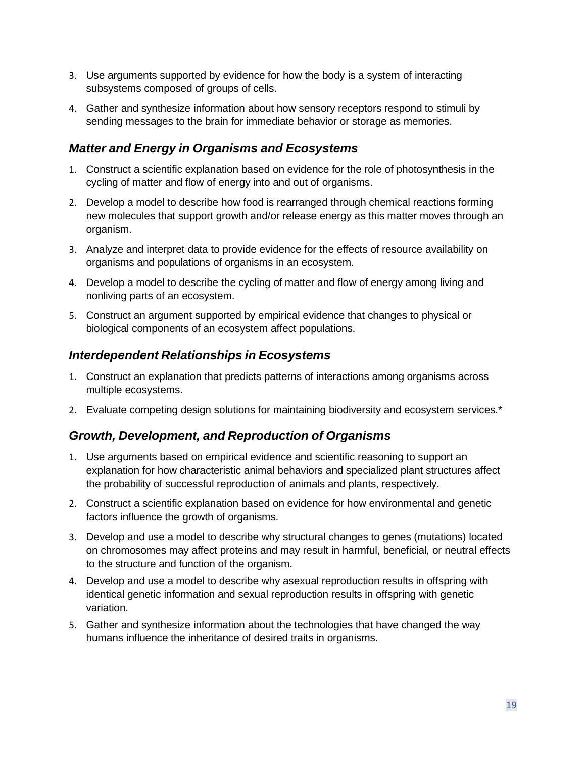- 3. Use arguments supported by evidence for how the body is a system of interacting subsystems composed of groups of cells.
- 4. Gather and synthesize information about how sensory receptors respond to stimuli by sending messages to the brain for immediate behavior or storage as memories.

#### *Matter and Energy in Organisms and Ecosystems*

- 1. Construct a scientific explanation based on evidence for the role of photosynthesis in the cycling of matter and flow of energy into and out of organisms.
- 2. Develop a model to describe how food is rearranged through chemical reactions forming new molecules that support growth and/or release energy as this matter moves through an organism.
- 3. Analyze and interpret data to provide evidence for the effects of resource availability on organisms and populations of organisms in an ecosystem.
- 4. Develop a model to describe the cycling of matter and flow of energy among living and nonliving parts of an ecosystem.
- 5. Construct an argument supported by empirical evidence that changes to physical or biological components of an ecosystem affect populations.

#### *Interdependent Relationships in Ecosystems*

- 1. Construct an explanation that predicts patterns of interactions among organisms across multiple ecosystems.
- 2. Evaluate competing design solutions for maintaining biodiversity and ecosystem services.\*

### *Growth, Development, and Reproduction of Organisms*

- 1. Use arguments based on empirical evidence and scientific reasoning to support an explanation for how characteristic animal behaviors and specialized plant structures affect the probability of successful reproduction of animals and plants, respectively.
- 2. Construct a scientific explanation based on evidence for how environmental and genetic factors influence the growth of organisms.
- 3. Develop and use a model to describe why structural changes to genes (mutations) located on chromosomes may affect proteins and may result in harmful, beneficial, or neutral effects to the structure and function of the organism.
- 4. Develop and use a model to describe why asexual reproduction results in offspring with identical genetic information and sexual reproduction results in offspring with genetic variation.
- 5. Gather and synthesize information about the technologies that have changed the way humans influence the inheritance of desired traits in organisms.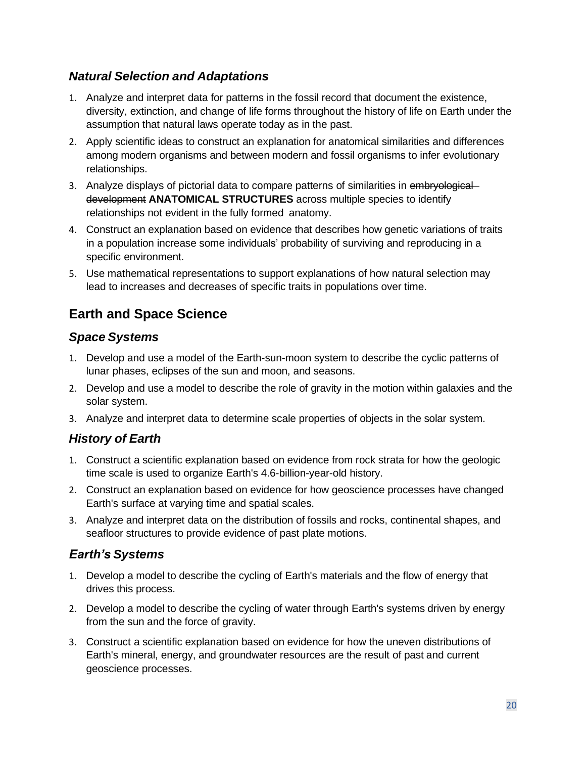# *Natural Selection and Adaptations*

- 1. Analyze and interpret data for patterns in the fossil record that document the existence, diversity, extinction, and change of life forms throughout the history of life on Earth under the assumption that natural laws operate today as in the past.
- 2. Apply scientific ideas to construct an explanation for anatomical similarities and differences among modern organisms and between modern and fossil organisms to infer evolutionary relationships.
- 3. Analyze displays of pictorial data to compare patterns of similarities in embryological development **ANATOMICAL STRUCTURES** across multiple species to identify relationships not evident in the fully formed anatomy.
- 4. Construct an explanation based on evidence that describes how genetic variations of traits in a population increase some individuals' probability of surviving and reproducing in a specific environment.
- 5. Use mathematical representations to support explanations of how natural selection may lead to increases and decreases of specific traits in populations over time.

# **Earth and Space Science**

# *Space Systems*

- 1. Develop and use a model of the Earth-sun-moon system to describe the cyclic patterns of lunar phases, eclipses of the sun and moon, and seasons.
- 2. Develop and use a model to describe the role of gravity in the motion within galaxies and the solar system.
- 3. Analyze and interpret data to determine scale properties of objects in the solar system.

# *History of Earth*

- 1. Construct a scientific explanation based on evidence from rock strata for how the geologic time scale is used to organize Earth's 4.6-billion-year-old history.
- 2. Construct an explanation based on evidence for how geoscience processes have changed Earth's surface at varying time and spatial scales.
- 3. Analyze and interpret data on the distribution of fossils and rocks, continental shapes, and seafloor structures to provide evidence of past plate motions.

# *Earth's Systems*

- 1. Develop a model to describe the cycling of Earth's materials and the flow of energy that drives this process.
- 2. Develop a model to describe the cycling of water through Earth's systems driven by energy from the sun and the force of gravity.
- 3. Construct a scientific explanation based on evidence for how the uneven distributions of Earth's mineral, energy, and groundwater resources are the result of past and current geoscience processes.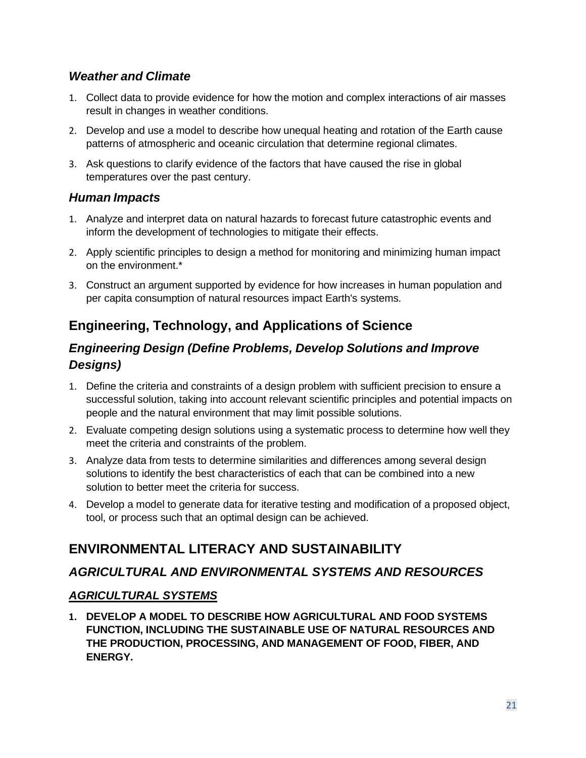## *Weather and Climate*

- 1. Collect data to provide evidence for how the motion and complex interactions of air masses result in changes in weather conditions.
- 2. Develop and use a model to describe how unequal heating and rotation of the Earth cause patterns of atmospheric and oceanic circulation that determine regional climates.
- 3. Ask questions to clarify evidence of the factors that have caused the rise in global temperatures over the past century.

## *Human Impacts*

- 1. Analyze and interpret data on natural hazards to forecast future catastrophic events and inform the development of technologies to mitigate their effects.
- 2. Apply scientific principles to design a method for monitoring and minimizing human impact on the environment.\*
- 3. Construct an argument supported by evidence for how increases in human population and per capita consumption of natural resources impact Earth's systems.

# **Engineering, Technology, and Applications of Science**

# *Engineering Design (Define Problems, Develop Solutions and Improve Designs)*

- 1. Define the criteria and constraints of a design problem with sufficient precision to ensure a successful solution, taking into account relevant scientific principles and potential impacts on people and the natural environment that may limit possible solutions.
- 2. Evaluate competing design solutions using a systematic process to determine how well they meet the criteria and constraints of the problem.
- solution to better meet the criteria for success. 3. Analyze data from tests to determine similarities and differences among several design solutions to identify the best characteristics of each that can be combined into a new
- 4. Develop a model to generate data for iterative testing and modification of a proposed object, tool, or process such that an optimal design can be achieved.

# **ENVIRONMENTAL LITERACY AND SUSTAINABILITY**

## *AGRICULTURAL AND ENVIRONMENTAL SYSTEMS AND RESOURCES*

### *AGRICULTURAL SYSTEMS*

 **1. DEVELOP A MODEL TO DESCRIBE HOW AGRICULTURAL AND FOOD SYSTEMS FUNCTION, INCLUDING THE SUSTAINABLE USE OF NATURAL RESOURCES AND THE PRODUCTION, PROCESSING, AND MANAGEMENT OF FOOD, FIBER, AND ENERGY.**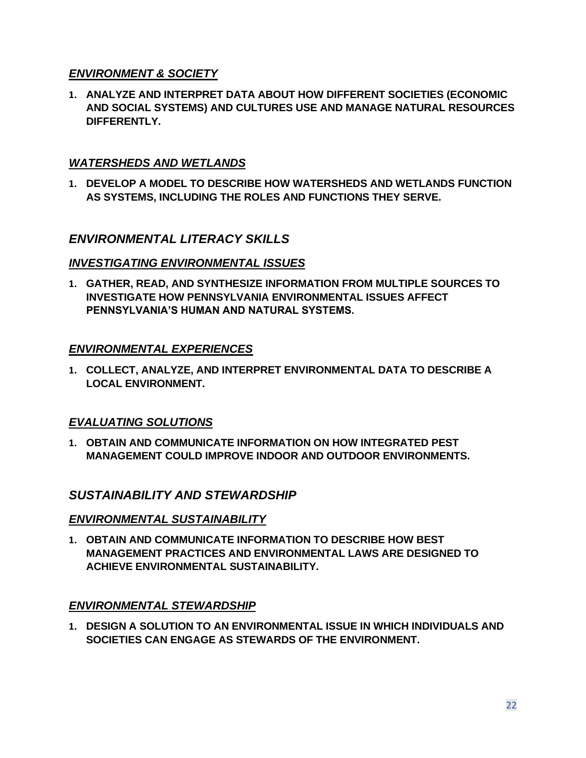### *ENVIRONMENT & SOCIETY*

 **1. ANALYZE AND INTERPRET DATA ABOUT HOW DIFFERENT SOCIETIES (ECONOMIC AND SOCIAL SYSTEMS) AND CULTURES USE AND MANAGE NATURAL RESOURCES DIFFERENTLY.** 

#### *WATERSHEDS AND WETLANDS*

 **1. DEVELOP A MODEL TO DESCRIBE HOW WATERSHEDS AND WETLANDS FUNCTION AS SYSTEMS, INCLUDING THE ROLES AND FUNCTIONS THEY SERVE.** 

## *ENVIRONMENTAL LITERACY SKILLS*

#### *INVESTIGATING ENVIRONMENTAL ISSUES*

 **1. GATHER, READ, AND SYNTHESIZE INFORMATION FROM MULTIPLE SOURCES TO INVESTIGATE HOW PENNSYLVANIA ENVIRONMENTAL ISSUES AFFECT PENNSYLVANIA'S HUMAN AND NATURAL SYSTEMS.**

#### *ENVIRONMENTAL EXPERIENCES*

 **1. COLLECT, ANALYZE, AND INTERPRET ENVIRONMENTAL DATA TO DESCRIBE A LOCAL ENVIRONMENT.** 

### *EVALUATING SOLUTIONS*

 **1. OBTAIN AND COMMUNICATE INFORMATION ON HOW INTEGRATED PEST MANAGEMENT COULD IMPROVE INDOOR AND OUTDOOR ENVIRONMENTS.** 

### *SUSTAINABILITY AND STEWARDSHIP*

#### *ENVIRONMENTAL SUSTAINABILITY*

 **1. OBTAIN AND COMMUNICATE INFORMATION TO DESCRIBE HOW BEST MANAGEMENT PRACTICES AND ENVIRONMENTAL LAWS ARE DESIGNED TO ACHIEVE ENVIRONMENTAL SUSTAINABILITY.** 

#### *ENVIRONMENTAL STEWARDSHIP*

 **1. DESIGN A SOLUTION TO AN ENVIRONMENTAL ISSUE IN WHICH INDIVIDUALS AND SOCIETIES CAN ENGAGE AS STEWARDS OF THE ENVIRONMENT.**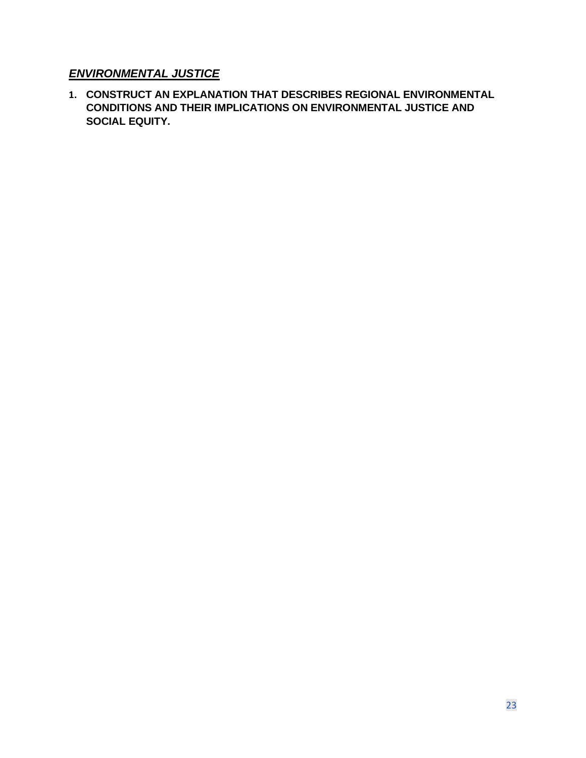## *ENVIRONMENTAL JUSTICE*

 **CONDITIONS AND THEIR IMPLICATIONS ON ENVIRONMENTAL JUSTICE AND 1. CONSTRUCT AN EXPLANATION THAT DESCRIBES REGIONAL ENVIRONMENTAL SOCIAL EQUITY.**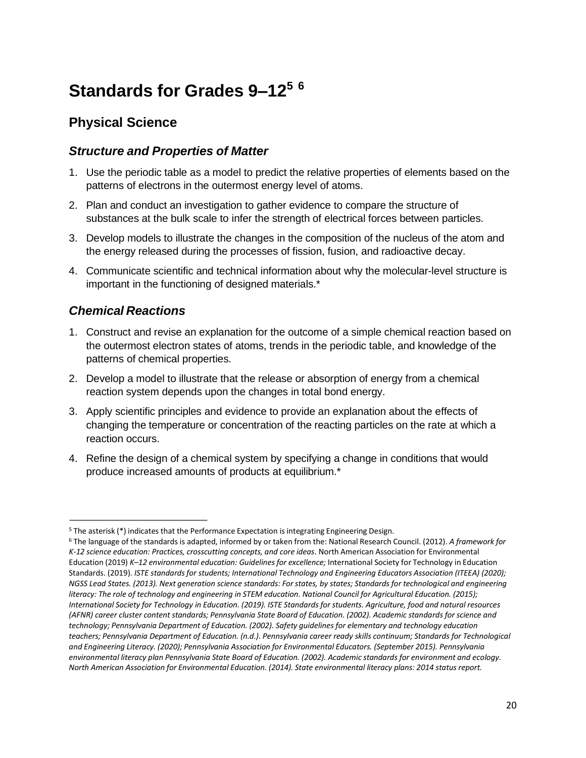# **Standards for Grades 9–1[25](#page-23-0) [6](#page-23-1)**

# **Physical Science**

## *Structure and Properties of Matter*

- 1. Use the periodic table as a model to predict the relative properties of elements based on the patterns of electrons in the outermost energy level of atoms.
- 2. Plan and conduct an investigation to gather evidence to compare the structure of substances at the bulk scale to infer the strength of electrical forces between particles.
- the energy released during the processes of fission, fusion, and radioactive decay. 3. Develop models to illustrate the changes in the composition of the nucleus of the atom and
- 4. Communicate scientific and technical information about why the molecular-level structure is important in the functioning of designed materials.\*

## *Chemical Reactions*

- 1. Construct and revise an explanation for the outcome of a simple chemical reaction based on the outermost electron states of atoms, trends in the periodic table, and knowledge of the patterns of chemical properties.
- 2. Develop a model to illustrate that the release or absorption of energy from a chemical reaction system depends upon the changes in total bond energy.
- 3. Apply scientific principles and evidence to provide an explanation about the effects of changing the temperature or concentration of the reacting particles on the rate at which a reaction occurs.
- 4. Refine the design of a chemical system by specifying a change in conditions that would produce increased amounts of products at equilibrium.\*

<span id="page-23-1"></span>

<span id="page-23-0"></span> Standards. (2019). *ISTE standards for students; International Technology and Engineering Educators Association (ITEEA) (2020); literacy: The role of technology and engineering in STEM education. National Council for Agricultural Education. (2015);*  <sup>5</sup> The asterisk (\*) indicates that the Performance Expectation is integrating Engineering Design.<br><sup>6</sup> The language of the standards is adapted, informed by or taken from the: National Research Council. (2012). A framework *K-12 science education: Practices, crosscutting concepts, and core ideas*. North American Association for Environmental Education (2019) *K–12 environmental education: Guidelines for excellence;* International Society for Technology in Education *NGSS Lead States. (2013). Next generation science standards: For states, by states; Standards for technological and engineering International Society for Technology in Education. (2019). ISTE Standards for students. Agriculture, food and natural resources (AFNR) career cluster content standards; Pennsylvania State Board of Education. (2002). Academic standards for science and technology; Pennsylvania Department of Education. (2002). Safety guidelines for elementary and technology education teachers; Pennsylvania Department of Education. (n.d.). Pennsylvania career ready skills continuum; Standards for Technological and Engineering Literacy. (2020); Pennsylvania Association for Environmental Educators. (September 2015). Pennsylvania environmental literacy plan Pennsylvania State Board of Education. (2002). Academic standards for environment and ecology. North American Association for Environmental Education. (2014). State environmental literacy plans: 2014 status report.*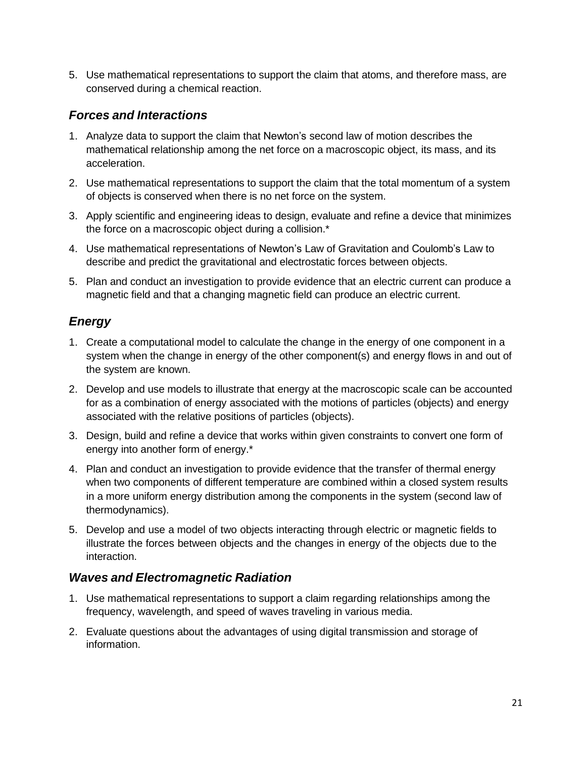5. Use mathematical representations to support the claim that atoms, and therefore mass, are conserved during a chemical reaction.

### *Forces and Interactions*

- 1. Analyze data to support the claim that Newton's second law of motion describes the mathematical relationship among the net force on a macroscopic object, its mass, and its acceleration.
- 2. Use mathematical representations to support the claim that the total momentum of a system of objects is conserved when there is no net force on the system.
- 3. Apply scientific and engineering ideas to design, evaluate and refine a device that minimizes the force on a macroscopic object during a collision.\*
- 4. Use mathematical representations of Newton's Law of Gravitation and Coulomb's Law to describe and predict the gravitational and electrostatic forces between objects.
- 5. Plan and conduct an investigation to provide evidence that an electric current can produce a magnetic field and that a changing magnetic field can produce an electric current.

# *Energy*

- 1. Create a computational model to calculate the change in the energy of one component in a system when the change in energy of the other component(s) and energy flows in and out of the system are known.
- 2. Develop and use models to illustrate that energy at the macroscopic scale can be accounted for as a combination of energy associated with the motions of particles (objects) and energy associated with the relative positions of particles (objects).
- energy into another form of energy.\* 3. Design, build and refine a device that works within given constraints to convert one form of
- 4. Plan and conduct an investigation to provide evidence that the transfer of thermal energy when two components of different temperature are combined within a closed system results in a more uniform energy distribution among the components in the system (second law of thermodynamics).
- 5. Develop and use a model of two objects interacting through electric or magnetic fields to illustrate the forces between objects and the changes in energy of the objects due to the interaction.

## *Waves and Electromagnetic Radiation*

- 1. Use mathematical representations to support a claim regarding relationships among the frequency, wavelength, and speed of waves traveling in various media.
- 2. Evaluate questions about the advantages of using digital transmission and storage of information.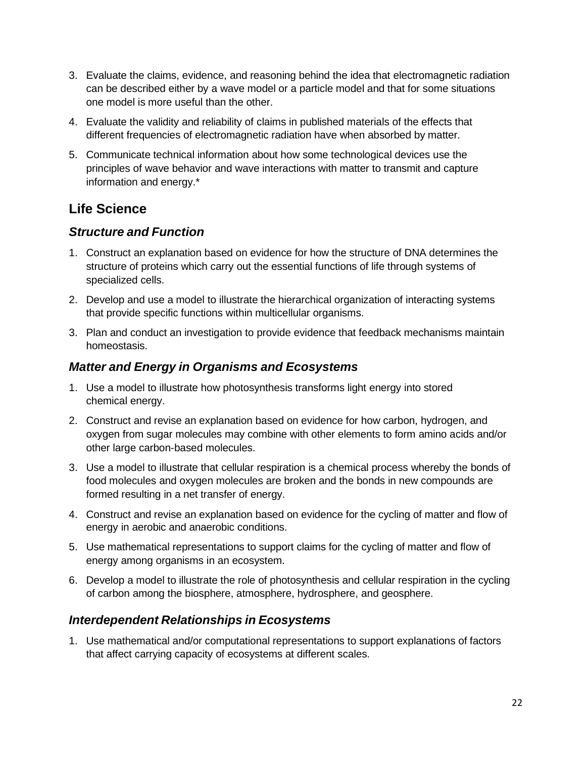- 3. Evaluate the claims, evidence, and reasoning behind the idea that electromagnetic radiation can be described either by a wave model or a particle model and that for some situations one model is more useful than the other.
- 4. Evaluate the validity and reliability of claims in published materials of the effects that different frequencies of electromagnetic radiation have when absorbed by matter.
- 5. Communicate technical information about how some technological devices use the principles of wave behavior and wave interactions with matter to transmit and capture information and energy.\*

# **Life Science**

## *Structure and Function*

- 1. Construct an explanation based on evidence for how the structure of DNA determines the structure of proteins which carry out the essential functions of life through systems of specialized cells.
- 2. Develop and use a model to illustrate the hierarchical organization of interacting systems that provide specific functions within multicellular organisms.
- 3. Plan and conduct an investigation to provide evidence that feedback mechanisms maintain homeostasis.

# *Matter and Energy in Organisms and Ecosystems*

- 1. Use a model to illustrate how photosynthesis transforms light energy into stored chemical energy.
- 2. Construct and revise an explanation based on evidence for how carbon, hydrogen, and oxygen from sugar molecules may combine with other elements to form amino acids and/or other large carbon-based molecules.
- 3. Use a model to illustrate that cellular respiration is a chemical process whereby the bonds of food molecules and oxygen molecules are broken and the bonds in new compounds are formed resulting in a net transfer of energy.
- 4. Construct and revise an explanation based on evidence for the cycling of matter and flow of energy in aerobic and anaerobic conditions.
- 5. Use mathematical representations to support claims for the cycling of matter and flow of energy among organisms in an ecosystem.
- 6. Develop a model to illustrate the role of photosynthesis and cellular respiration in the cycling of carbon among the biosphere, atmosphere, hydrosphere, and geosphere.

## *Interdependent Relationships in Ecosystems*

 that affect carrying capacity of ecosystems at different scales. 1. Use mathematical and/or computational representations to support explanations of factors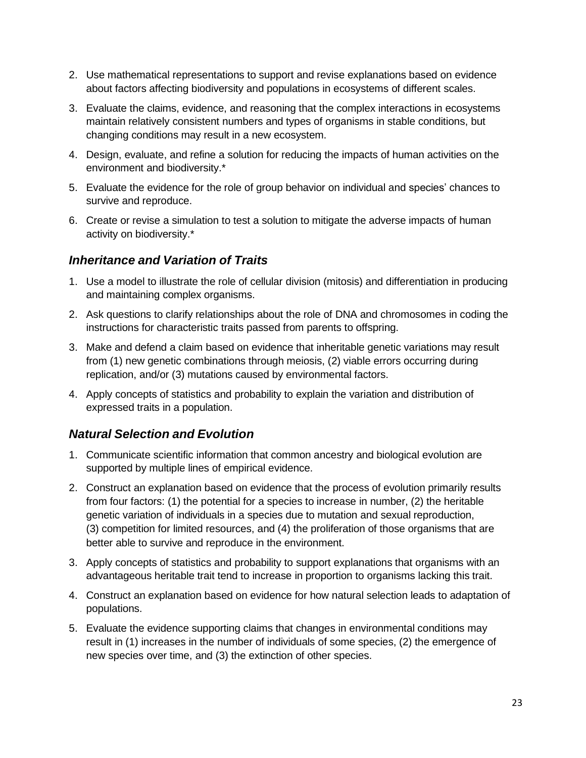- 2. Use mathematical representations to support and revise explanations based on evidence about factors affecting biodiversity and populations in ecosystems of different scales.
- 3. Evaluate the claims, evidence, and reasoning that the complex interactions in ecosystems maintain relatively consistent numbers and types of organisms in stable conditions, but changing conditions may result in a new ecosystem.
- 4. Design, evaluate, and refine a solution for reducing the impacts of human activities on the environment and biodiversity.\*
- 5. Evaluate the evidence for the role of group behavior on individual and species' chances to survive and reproduce.
- 6. Create or revise a simulation to test a solution to mitigate the adverse impacts of human activity on biodiversity.\*

## *Inheritance and Variation of Traits*

- 1. Use a model to illustrate the role of cellular division (mitosis) and differentiation in producing and maintaining complex organisms.
- 2. Ask questions to clarify relationships about the role of DNA and chromosomes in coding the instructions for characteristic traits passed from parents to offspring.
- from (1) new genetic combinations through meiosis, (2) viable errors occurring during replication, and/or (3) mutations caused by environmental factors. 3. Make and defend a claim based on evidence that inheritable genetic variations may result
- 4. Apply concepts of statistics and probability to explain the variation and distribution of expressed traits in a population.

## *Natural Selection and Evolution*

- 1. Communicate scientific information that common ancestry and biological evolution are supported by multiple lines of empirical evidence.
- from four factors: (1) the potential for a species to increase in number, (2) the heritable 2. Construct an explanation based on evidence that the process of evolution primarily results genetic variation of individuals in a species due to mutation and sexual reproduction, (3) competition for limited resources, and (4) the proliferation of those organisms that are better able to survive and reproduce in the environment.
- 3. Apply concepts of statistics and probability to support explanations that organisms with an advantageous heritable trait tend to increase in proportion to organisms lacking this trait.
- 4. Construct an explanation based on evidence for how natural selection leads to adaptation of populations.
- result in (1) increases in the number of individuals of some species, (2) the emergence of 5. Evaluate the evidence supporting claims that changes in environmental conditions may new species over time, and (3) the extinction of other species.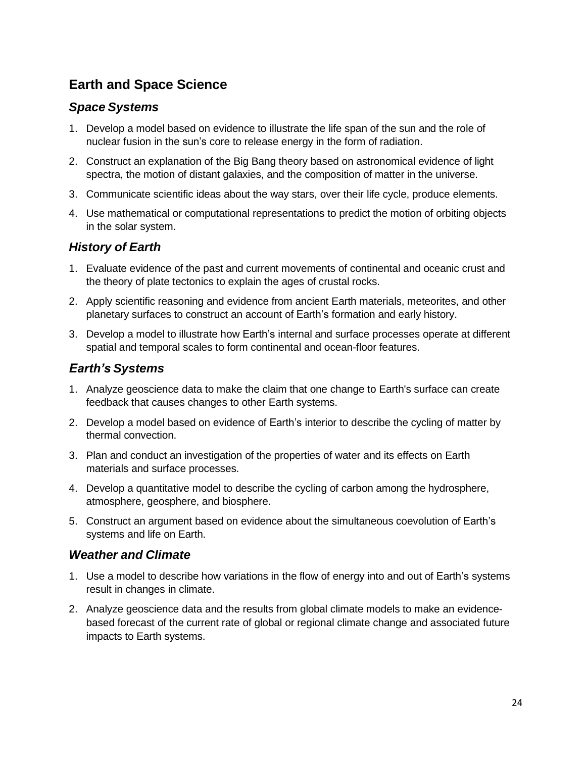# **Earth and Space Science**

### *Space Systems*

- 1. Develop a model based on evidence to illustrate the life span of the sun and the role of nuclear fusion in the sun's core to release energy in the form of radiation.
- spectra, the motion of distant galaxies, and the composition of matter in the universe. 2. Construct an explanation of the Big Bang theory based on astronomical evidence of light
- 3. Communicate scientific ideas about the way stars, over their life cycle, produce elements.
- 4. Use mathematical or computational representations to predict the motion of orbiting objects in the solar system.

## *History of Earth*

- 1. Evaluate evidence of the past and current movements of continental and oceanic crust and the theory of plate tectonics to explain the ages of crustal rocks.
- 2. Apply scientific reasoning and evidence from ancient Earth materials, meteorites, and other planetary surfaces to construct an account of Earth's formation and early history.
- 3. Develop a model to illustrate how Earth's internal and surface processes operate at different spatial and temporal scales to form continental and ocean-floor features.

## *Earth's Systems*

- 1. Analyze geoscience data to make the claim that one change to Earth's surface can create feedback that causes changes to other Earth systems.
- 2. Develop a model based on evidence of Earth's interior to describe the cycling of matter by thermal convection.
- 3. Plan and conduct an investigation of the properties of water and its effects on Earth materials and surface processes.
- 4. Develop a quantitative model to describe the cycling of carbon among the hydrosphere, atmosphere, geosphere, and biosphere.
- 5. Construct an argument based on evidence about the simultaneous coevolution of Earth's systems and life on Earth.

### *Weather and Climate*

- 1. Use a model to describe how variations in the flow of energy into and out of Earth's systems result in changes in climate.
- 2. Analyze geoscience data and the results from global climate models to make an evidencebased forecast of the current rate of global or regional climate change and associated future impacts to Earth systems.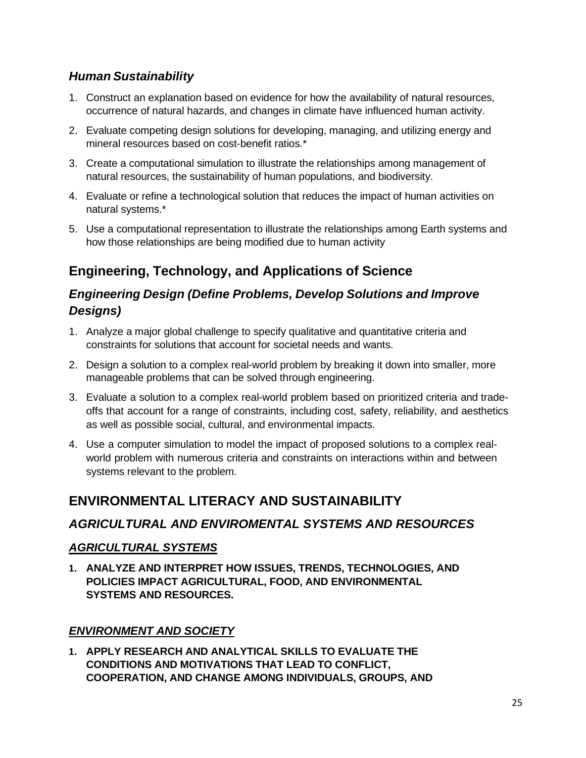# *Human Sustainability*

- 1. Construct an explanation based on evidence for how the availability of natural resources, occurrence of natural hazards, and changes in climate have influenced human activity.
- 2. Evaluate competing design solutions for developing, managing, and utilizing energy and mineral resources based on cost-benefit ratios.\*
- 3. Create a computational simulation to illustrate the relationships among management of natural resources, the sustainability of human populations, and biodiversity.
- 4. Evaluate or refine a technological solution that reduces the impact of human activities on natural systems.\*
- 5. Use a computational representation to illustrate the relationships among Earth systems and how those relationships are being modified due to human activity

# **Engineering, Technology, and Applications of Science**

# *Engineering Design (Define Problems, Develop Solutions and Improve Designs)*

- 1. Analyze a major global challenge to specify qualitative and quantitative criteria and constraints for solutions that account for societal needs and wants.
- 2. Design a solution to a complex real-world problem by breaking it down into smaller, more manageable problems that can be solved through engineering.
- 3. Evaluate a solution to a complex real-world problem based on prioritized criteria and tradeoffs that account for a range of constraints, including cost, safety, reliability, and aesthetics as well as possible social, cultural, and environmental impacts.
- 4. Use a computer simulation to model the impact of proposed solutions to a complex realworld problem with numerous criteria and constraints on interactions within and between systems relevant to the problem.

# **ENVIRONMENTAL LITERACY AND SUSTAINABILITY**

## *AGRICULTURAL AND ENVIROMENTAL SYSTEMS AND RESOURCES*

### *AGRICULTURAL SYSTEMS*

 **1. ANALYZE AND INTERPRET HOW ISSUES, TRENDS, TECHNOLOGIES, AND POLICIES IMPACT AGRICULTURAL, FOOD, AND ENVIRONMENTAL SYSTEMS AND RESOURCES.** 

## *ENVIRONMENT AND SOCIETY*

 **1. APPLY RESEARCH AND ANALYTICAL SKILLS TO EVALUATE THE CONDITIONS AND MOTIVATIONS THAT LEAD TO CONFLICT, COOPERATION, AND CHANGE AMONG INDIVIDUALS, GROUPS, AND**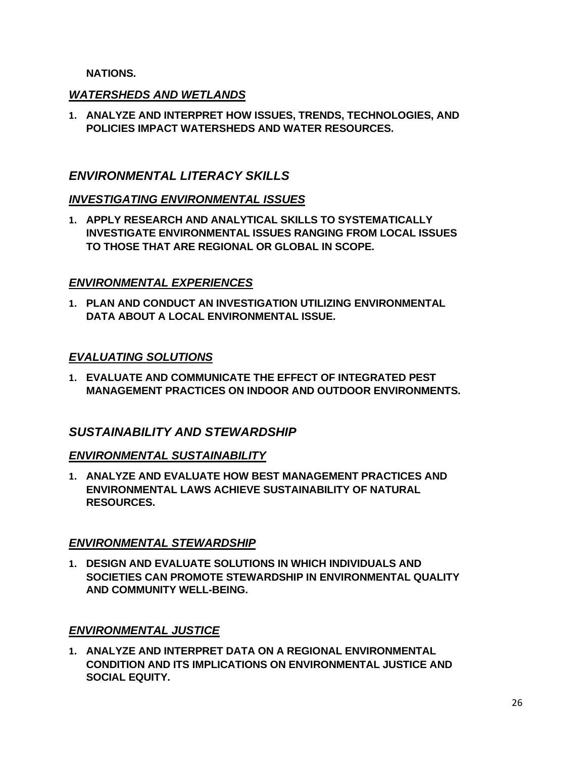#### **NATIONS.**

#### *WATERSHEDS AND WETLANDS*

 **1. ANALYZE AND INTERPRET HOW ISSUES, TRENDS, TECHNOLOGIES, AND POLICIES IMPACT WATERSHEDS AND WATER RESOURCES.** 

#### *ENVIRONMENTAL LITERACY SKILLS*

#### *INVESTIGATING ENVIRONMENTAL ISSUES*

 **1. APPLY RESEARCH AND ANALYTICAL SKILLS TO SYSTEMATICALLY INVESTIGATE ENVIRONMENTAL ISSUES RANGING FROM LOCAL ISSUES TO THOSE THAT ARE REGIONAL OR GLOBAL IN SCOPE.** 

#### *ENVIRONMENTAL EXPERIENCES*

 **1. PLAN AND CONDUCT AN INVESTIGATION UTILIZING ENVIRONMENTAL DATA ABOUT A LOCAL ENVIRONMENTAL ISSUE.** 

#### *EVALUATING SOLUTIONS*

 **1. EVALUATE AND COMMUNICATE THE EFFECT OF INTEGRATED PEST MANAGEMENT PRACTICES ON INDOOR AND OUTDOOR ENVIRONMENTS.** 

#### *SUSTAINABILITY AND STEWARDSHIP*

#### *ENVIRONMENTAL SUSTAINABILITY*

 **1. ANALYZE AND EVALUATE HOW BEST MANAGEMENT PRACTICES AND ENVIRONMENTAL LAWS ACHIEVE SUSTAINABILITY OF NATURAL RESOURCES.** 

#### *ENVIRONMENTAL STEWARDSHIP*

 **1. DESIGN AND EVALUATE SOLUTIONS IN WHICH INDIVIDUALS AND SOCIETIES CAN PROMOTE STEWARDSHIP IN ENVIRONMENTAL QUALITY AND COMMUNITY WELL-BEING.** 

#### *ENVIRONMENTAL JUSTICE*

 **1. ANALYZE AND INTERPRET DATA ON A REGIONAL ENVIRONMENTAL CONDITION AND ITS IMPLICATIONS ON ENVIRONMENTAL JUSTICE AND SOCIAL EQUITY.**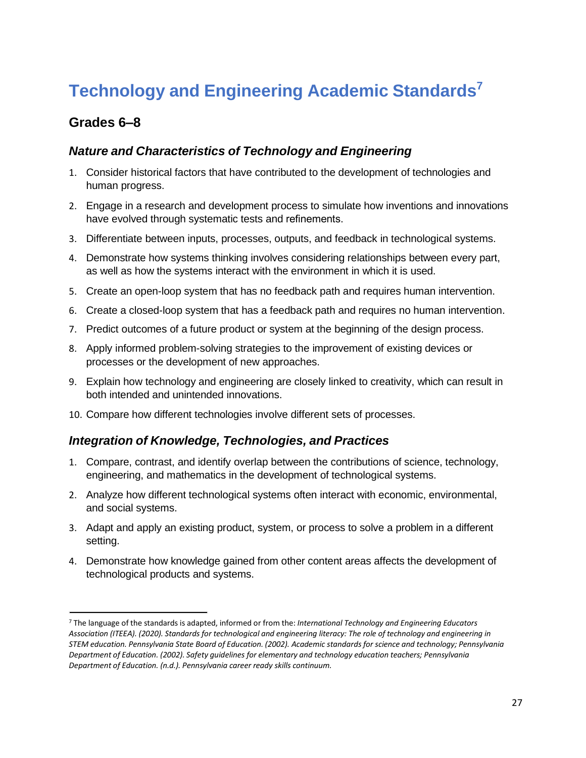# **Technology and Engineering Academic Standard[s7](#page-30-0)**

# **Grades 6–8**

### *Nature and Characteristics of Technology and Engineering*

- 1. Consider historical factors that have contributed to the development of technologies and human progress.
- 2. Engage in a research and development process to simulate how inventions and innovations have evolved through systematic tests and refinements.
- 3. Differentiate between inputs, processes, outputs, and feedback in technological systems.
- 4. Demonstrate how systems thinking involves considering relationships between every part, as well as how the systems interact with the environment in which it is used.
- 5. Create an open-loop system that has no feedback path and requires human intervention.
- 6. Create a closed-loop system that has a feedback path and requires no human intervention.
- 7. Predict outcomes of a future product or system at the beginning of the design process.
- processes or the development of new approaches. 8. Apply informed problem-solving strategies to the improvement of existing devices or
- 9. Explain how technology and engineering are closely linked to creativity, which can result in both intended and unintended innovations.
- 10. Compare how different technologies involve different sets of processes.

#### *Integration of Knowledge, Technologies, and Practices*

- 1. Compare, contrast, and identify overlap between the contributions of science, technology, engineering, and mathematics in the development of technological systems.
- 2. Analyze how different technological systems often interact with economic, environmental, and social systems.
- 3. Adapt and apply an existing product, system, or process to solve a problem in a different setting.
- 4. Demonstrate how knowledge gained from other content areas affects the development of technological products and systems.

<span id="page-30-0"></span> 7 The language of the standards is adapted, informed or from the: *International Technology and Engineering Educators Department of Education. (2002). Safety guidelines for elementary and technology education teachers; Pennsylvania Association (ITEEA). (2020). Standards for technological and engineering literacy: The role of technology and engineering in STEM education. Pennsylvania State Board of Education. (2002). Academic standards for science and technology; Pennsylvania Department of Education. (n.d.). Pennsylvania career ready skills continuum.*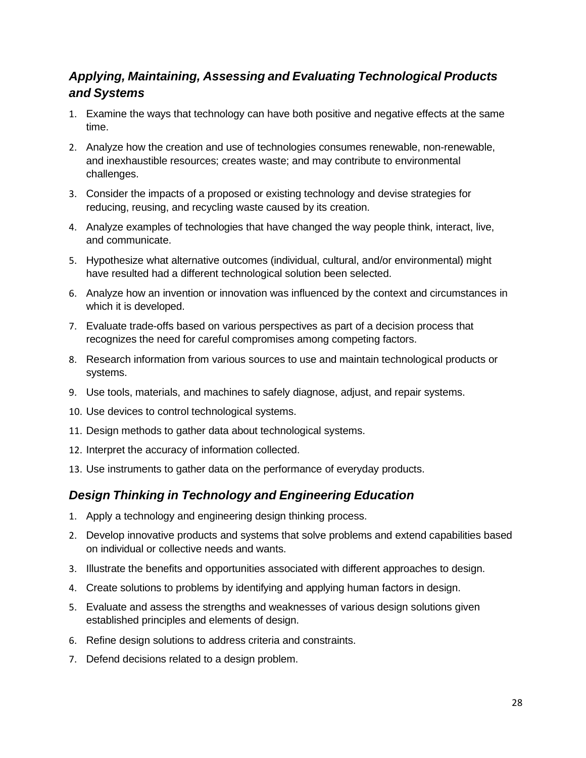# *Applying, Maintaining, Assessing and Evaluating Technological Products and Systems*

- 1. Examine the ways that technology can have both positive and negative effects at the same time.
- 2. Analyze how the creation and use of technologies consumes renewable, non-renewable, and inexhaustible resources; creates waste; and may contribute to environmental challenges.
- reducing, reusing, and recycling waste caused by its creation. 3. Consider the impacts of a proposed or existing technology and devise strategies for
- 4. Analyze examples of technologies that have changed the way people think, interact, live, and communicate.
- 5. Hypothesize what alternative outcomes (individual, cultural, and/or environmental) might have resulted had a different technological solution been selected.
- 6. Analyze how an invention or innovation was influenced by the context and circumstances in which it is developed.
- recognizes the need for careful compromises among competing factors. 7. Evaluate trade-offs based on various perspectives as part of a decision process that
- 8. Research information from various sources to use and maintain technological products or systems.
- 9. Use tools, materials, and machines to safely diagnose, adjust, and repair systems.
- 10. Use devices to control technological systems.
- 11. Design methods to gather data about technological systems.
- 12. Interpret the accuracy of information collected.
- 13. Use instruments to gather data on the performance of everyday products.

## *Design Thinking in Technology and Engineering Education*

- 1. Apply a technology and engineering design thinking process.
- 2. Develop innovative products and systems that solve problems and extend capabilities based on individual or collective needs and wants.
- 3. Illustrate the benefits and opportunities associated with different approaches to design.
- 4. Create solutions to problems by identifying and applying human factors in design.
- 5. Evaluate and assess the strengths and weaknesses of various design solutions given established principles and elements of design.
- 6. Refine design solutions to address criteria and constraints.
- 7. Defend decisions related to a design problem.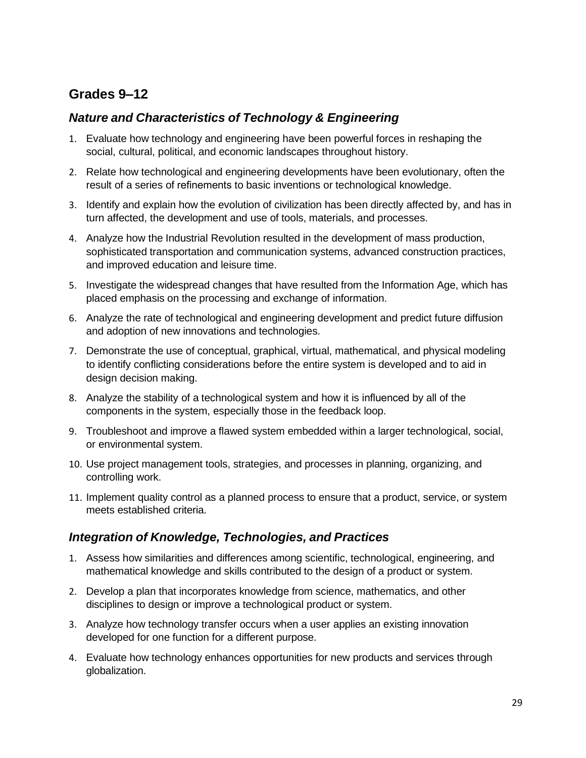# **Grades 9–12**

# *Nature and Characteristics of Technology & Engineering*

- 1. Evaluate how technology and engineering have been powerful forces in reshaping the social, cultural, political, and economic landscapes throughout history.
- 2. Relate how technological and engineering developments have been evolutionary, often the result of a series of refinements to basic inventions or technological knowledge.
- 3. Identify and explain how the evolution of civilization has been directly affected by, and has in turn affected, the development and use of tools, materials, and processes.
- 4. Analyze how the Industrial Revolution resulted in the development of mass production, sophisticated transportation and communication systems, advanced construction practices, and improved education and leisure time.
- 5. Investigate the widespread changes that have resulted from the Information Age, which has placed emphasis on the processing and exchange of information.
- 6. Analyze the rate of technological and engineering development and predict future diffusion and adoption of new innovations and technologies.
- 7. Demonstrate the use of conceptual, graphical, virtual, mathematical, and physical modeling to identify conflicting considerations before the entire system is developed and to aid in design decision making.
- 8. Analyze the stability of a technological system and how it is influenced by all of the components in the system, especially those in the feedback loop.
- 9. Troubleshoot and improve a flawed system embedded within a larger technological, social, or environmental system.
- 10. Use project management tools, strategies, and processes in planning, organizing, and controlling work.
- 11. Implement quality control as a planned process to ensure that a product, service, or system meets established criteria.

## *Integration of Knowledge, Technologies, and Practices*

- 1. Assess how similarities and differences among scientific, technological, engineering, and mathematical knowledge and skills contributed to the design of a product or system.
- 2. Develop a plan that incorporates knowledge from science, mathematics, and other disciplines to design or improve a technological product or system.
- 3. Analyze how technology transfer occurs when a user applies an existing innovation developed for one function for a different purpose.
- 4. Evaluate how technology enhances opportunities for new products and services through globalization.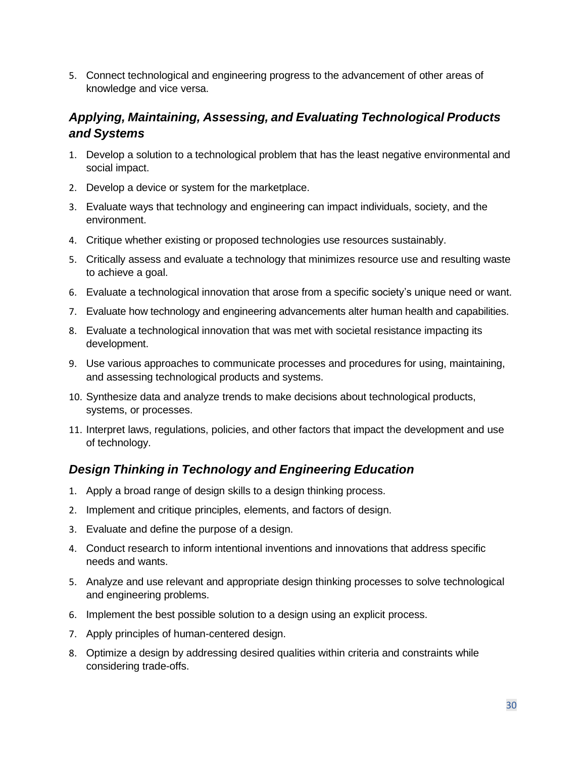5. Connect technological and engineering progress to the advancement of other areas of knowledge and vice versa.

# *Applying, Maintaining, Assessing, and Evaluating Technological Products and Systems*

- 1. Develop a solution to a technological problem that has the least negative environmental and social impact.
- 2. Develop a device or system for the marketplace.
- 3. Evaluate ways that technology and engineering can impact individuals, society, and the environment.
- 4. Critique whether existing or proposed technologies use resources sustainably.
- 5. Critically assess and evaluate a technology that minimizes resource use and resulting waste to achieve a goal.
- 6. Evaluate a technological innovation that arose from a specific society's unique need or want.
- 7. Evaluate how technology and engineering advancements alter human health and capabilities.
- 8. Evaluate a technological innovation that was met with societal resistance impacting its development.
- 9. Use various approaches to communicate processes and procedures for using, maintaining, and assessing technological products and systems.
- 10. Synthesize data and analyze trends to make decisions about technological products, systems, or processes.
- 11. Interpret laws, regulations, policies, and other factors that impact the development and use of technology.

# *Design Thinking in Technology and Engineering Education*

- 1. Apply a broad range of design skills to a design thinking process.
- 2. Implement and critique principles, elements, and factors of design.
- 3. Evaluate and define the purpose of a design.
- 4. Conduct research to inform intentional inventions and innovations that address specific needs and wants.
- 5. Analyze and use relevant and appropriate design thinking processes to solve technological and engineering problems.
- 6. Implement the best possible solution to a design using an explicit process.
- 7. Apply principles of human-centered design.
- 8. Optimize a design by addressing desired qualities within criteria and constraints while considering trade-offs.